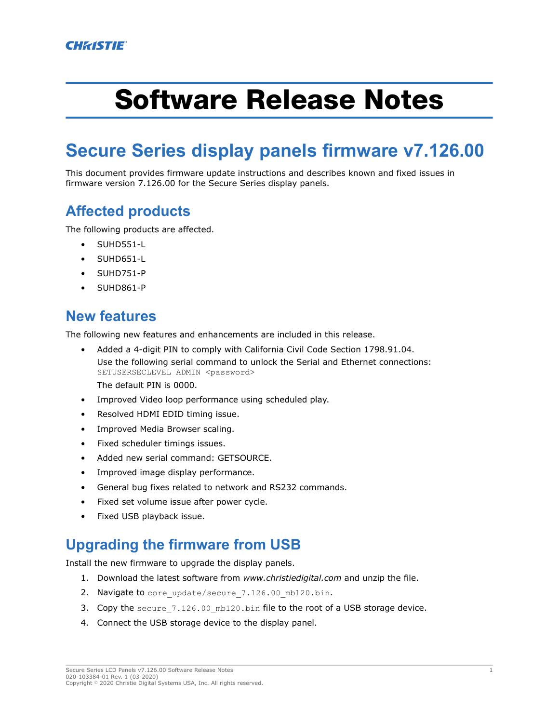# Software Release Notes

## **Secure Series display panels firmware v7.126.00**

This document provides firmware update instructions and describes known and fixed issues in firmware version 7.126.00 for the Secure Series display panels.

### **Affected products**

The following products are affected.

- SUHD551-L
- SUHD651-L
- SUHD751-P
- SUHD861-P

#### **New features**

The following new features and enhancements are included in this release.

• Added a 4-digit PIN to comply with California Civil Code Section 1798.91.04. Use the following serial command to unlock the Serial and Ethernet connections: SETUSERSECLEVEL ADMIN <password>

The default PIN is 0000.

- Improved Video loop performance using scheduled play.
- Resolved HDMI EDID timing issue.
- Improved Media Browser scaling.
- Fixed scheduler timings issues.
- Added new serial command: GETSOURCE.
- Improved image display performance.
- General bug fixes related to network and RS232 commands.
- Fixed set volume issue after power cycle.
- Fixed USB playback issue.

#### **Upgrading the firmware from USB**

Install the new firmware to upgrade the display panels.

- 1. Download the latest software from *[www.christiedigital.com](http://www.christiedigital.com)* and unzip the file.
- 2. Navigate to core update/secure 7.126.00 mb120.bin.
- 3. Copy the secure\_7.126.00 mb120.bin file to the root of a USB storage device.
- 4. Connect the USB storage device to the display panel.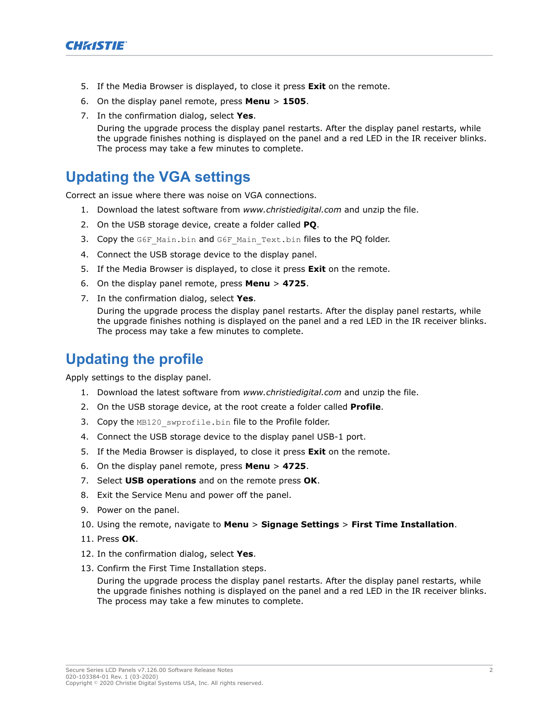

- 5. If the Media Browser is displayed, to close it press **Exit** on the remote.
- 6. On the display panel remote, press **Menu** > **1505**.
- 7. In the confirmation dialog, select **Yes**.

During the upgrade process the display panel restarts. After the display panel restarts, while the upgrade finishes nothing is displayed on the panel and a red LED in the IR receiver blinks. The process may take a few minutes to complete.

#### **Updating the VGA settings**

Correct an issue where there was noise on VGA connections.

- 1. Download the latest software from *[www.christiedigital.com](http://www.christiedigital.com)* and unzip the file.
- 2. On the USB storage device, create a folder called **PQ**.
- 3. Copy the G6F Main.bin and G6F Main Text.bin files to the PQ folder.
- 4. Connect the USB storage device to the display panel.
- 5. If the Media Browser is displayed, to close it press **Exit** on the remote.
- 6. On the display panel remote, press **Menu** > **4725**.
- 7. In the confirmation dialog, select **Yes**.

During the upgrade process the display panel restarts. After the display panel restarts, while the upgrade finishes nothing is displayed on the panel and a red LED in the IR receiver blinks. The process may take a few minutes to complete.

#### **Updating the profile**

Apply settings to the display panel.

- 1. Download the latest software from *[www.christiedigital.com](http://www.christiedigital.com)* and unzip the file.
- 2. On the USB storage device, at the root create a folder called **Profile**.
- 3. Copy the MB120 swprofile.bin file to the Profile folder.
- 4. Connect the USB storage device to the display panel USB-1 port.
- 5. If the Media Browser is displayed, to close it press **Exit** on the remote.
- 6. On the display panel remote, press **Menu** > **4725**.
- 7. Select **USB operations** and on the remote press **OK**.
- 8. Exit the Service Menu and power off the panel.
- 9. Power on the panel.
- 10. Using the remote, navigate to **Menu** > **Signage Settings** > **First Time Installation**.
- 11. Press **OK**.
- 12. In the confirmation dialog, select **Yes**.
- 13. Confirm the First Time Installation steps.

During the upgrade process the display panel restarts. After the display panel restarts, while the upgrade finishes nothing is displayed on the panel and a red LED in the IR receiver blinks. The process may take a few minutes to complete.